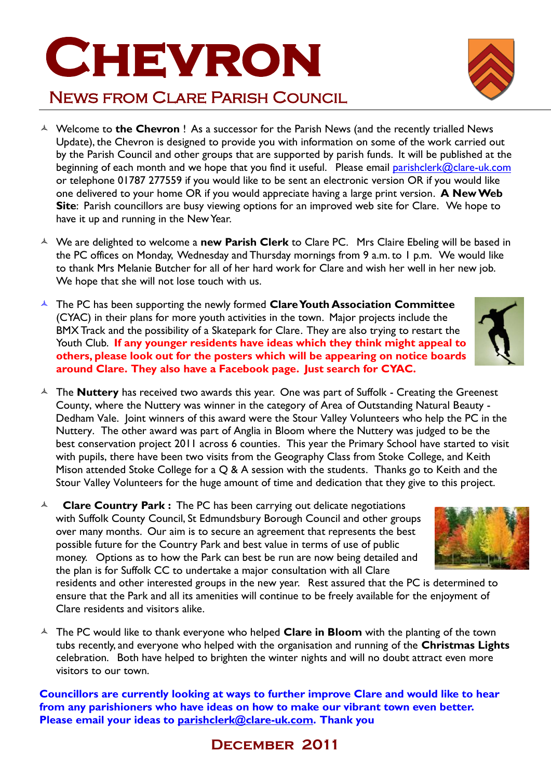## **Site**: Parish councillors are busy viewing options for an improved web site for Clare. We hope to have it up and running in the New Year.

- We are delighted to welcome a **new Parish Clerk** to Clare PC. Mrs Claire Ebeling will be based in the PC offices on Monday, Wednesday and Thursday mornings from 9 a.m. to 1 p.m. We would like to thank Mrs Melanie Butcher for all of her hard work for Clare and wish her well in her new job. We hope that she will not lose touch with us.
- The PC has been supporting the newly formed **Clare Youth Association Committee** (CYAC) in their plans for more youth activities in the town. Major projects include the BMX Track and the possibility of a Skatepark for Clare. They are also trying to restart the Youth Club. **If any younger residents have ideas which they think might appeal to others, please look out for the posters which will be appearing on notice boards around Clare. They also have a Facebook page. Just search for CYAC.**
- The **Nuttery** has received two awards this year. One was part of Suffolk Creating the Greenest County, where the Nuttery was winner in the category of Area of Outstanding Natural Beauty - Dedham Vale. Joint winners of this award were the Stour Valley Volunteers who help the PC in the Nuttery. The other award was part of Anglia in Bloom where the Nuttery was judged to be the best conservation project 2011 across 6 counties. This year the Primary School have started to visit with pupils, there have been two visits from the Geography Class from Stoke College, and Keith Mison attended Stoke College for a Q & A session with the students. Thanks go to Keith and the Stour Valley Volunteers for the huge amount of time and dedication that they give to this project.
- <sup> $\triangle$ </sup> **Clare Country Park :** The PC has been carrying out delicate negotiations with Suffolk County Council, St Edmundsbury Borough Council and other groups over many months. Our aim is to secure an agreement that represents the best possible future for the Country Park and best value in terms of use of public money. Options as to how the Park can best be run are now being detailed and the plan is for Suffolk CC to undertake a major consultation with all Clare

residents and other interested groups in the new year. Rest assured that the PC is determined to ensure that the Park and all its amenities will continue to be freely available for the enjoyment of Clare residents and visitors alike.

<sup> $\triangle$ </sup> The PC would like to thank everyone who helped **Clare in Bloom** with the planting of the town tubs recently, and everyone who helped with the organisation and running of the **Christmas Lights** celebration. Both have helped to brighten the winter nights and will no doubt attract even more visitors to our town.

**Councillors are currently looking at ways to further improve Clare and would like to hear from any parishioners who have ideas on how to make our vibrant town even better. Please email your ideas to [parishclerk@clare-uk.com.](mailto:parishclerk@clare-uk.com) Thank you**

## **December 2011**









## **CHEVRON**

News from Clare Parish Council